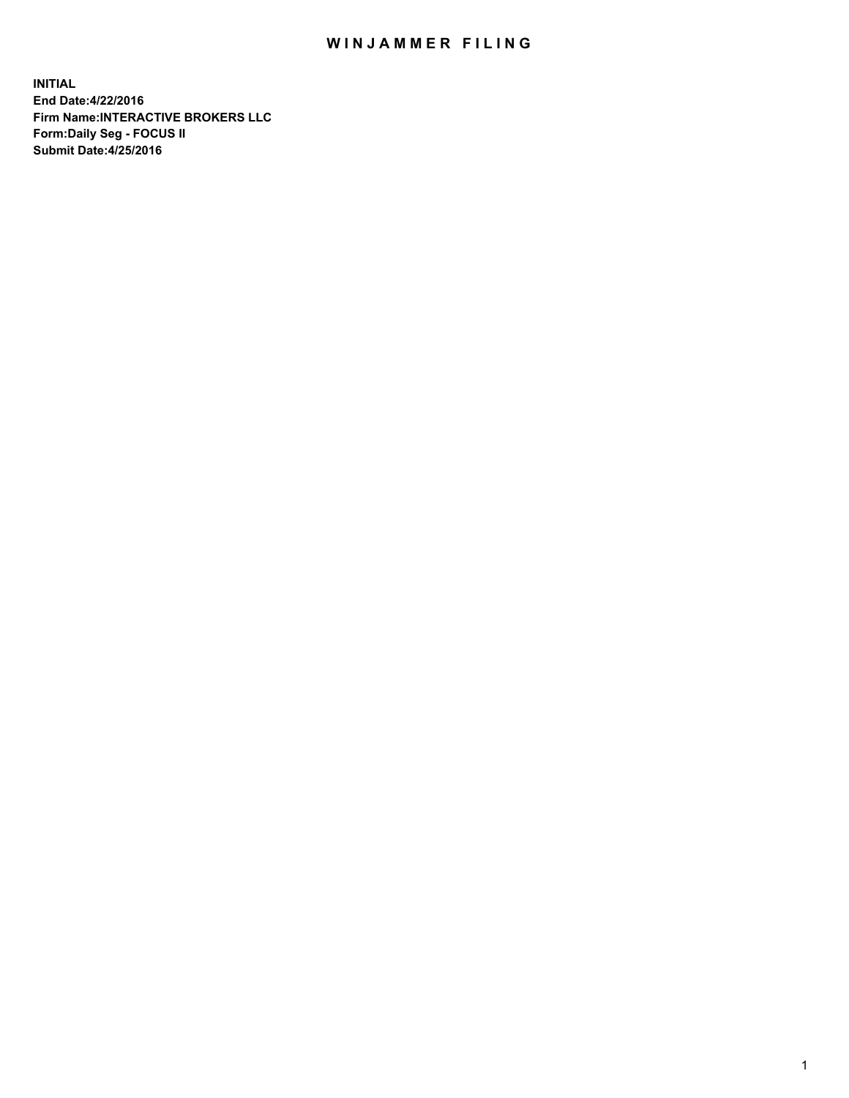## WIN JAMMER FILING

**INITIAL End Date:4/22/2016 Firm Name:INTERACTIVE BROKERS LLC Form:Daily Seg - FOCUS II Submit Date:4/25/2016**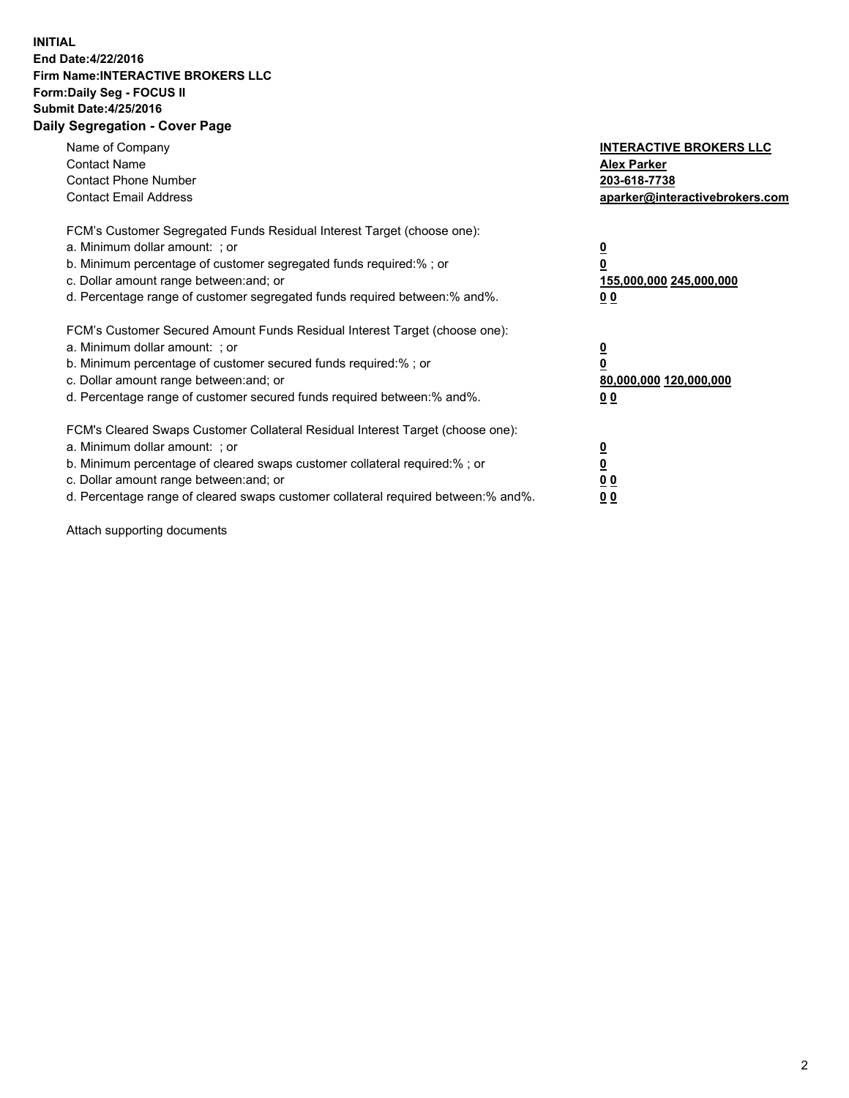## **INITIAL End Date:4/22/2016 Firm Name:INTERACTIVE BROKERS LLC Form:Daily Seg - FOCUS II Submit Date:4/25/2016 Daily Segregation - Cover Page**

| Name of Company<br><b>Contact Name</b><br><b>Contact Phone Number</b><br><b>Contact Email Address</b>                                                                                                                                                                                                                         | <b>INTERACTIVE BROKERS LLC</b><br><b>Alex Parker</b><br>203-618-7738<br>aparker@interactivebrokers.com |
|-------------------------------------------------------------------------------------------------------------------------------------------------------------------------------------------------------------------------------------------------------------------------------------------------------------------------------|--------------------------------------------------------------------------------------------------------|
| FCM's Customer Segregated Funds Residual Interest Target (choose one):<br>a. Minimum dollar amount: ; or<br>b. Minimum percentage of customer segregated funds required:% ; or<br>c. Dollar amount range between: and; or<br>d. Percentage range of customer segregated funds required between:% and%.                        | <u>0</u><br>155,000,000 245,000,000<br>0 <sub>0</sub>                                                  |
| FCM's Customer Secured Amount Funds Residual Interest Target (choose one):<br>a. Minimum dollar amount: ; or<br>b. Minimum percentage of customer secured funds required:%; or<br>c. Dollar amount range between: and; or<br>d. Percentage range of customer secured funds required between: % and %.                         | <u>0</u><br>80,000,000 120,000,000<br><u>00</u>                                                        |
| FCM's Cleared Swaps Customer Collateral Residual Interest Target (choose one):<br>a. Minimum dollar amount: ; or<br>b. Minimum percentage of cleared swaps customer collateral required:%; or<br>c. Dollar amount range between: and; or<br>d. Percentage range of cleared swaps customer collateral required between:% and%. | <u>0</u><br>0 <sub>0</sub><br>0 <sub>0</sub>                                                           |

Attach supporting documents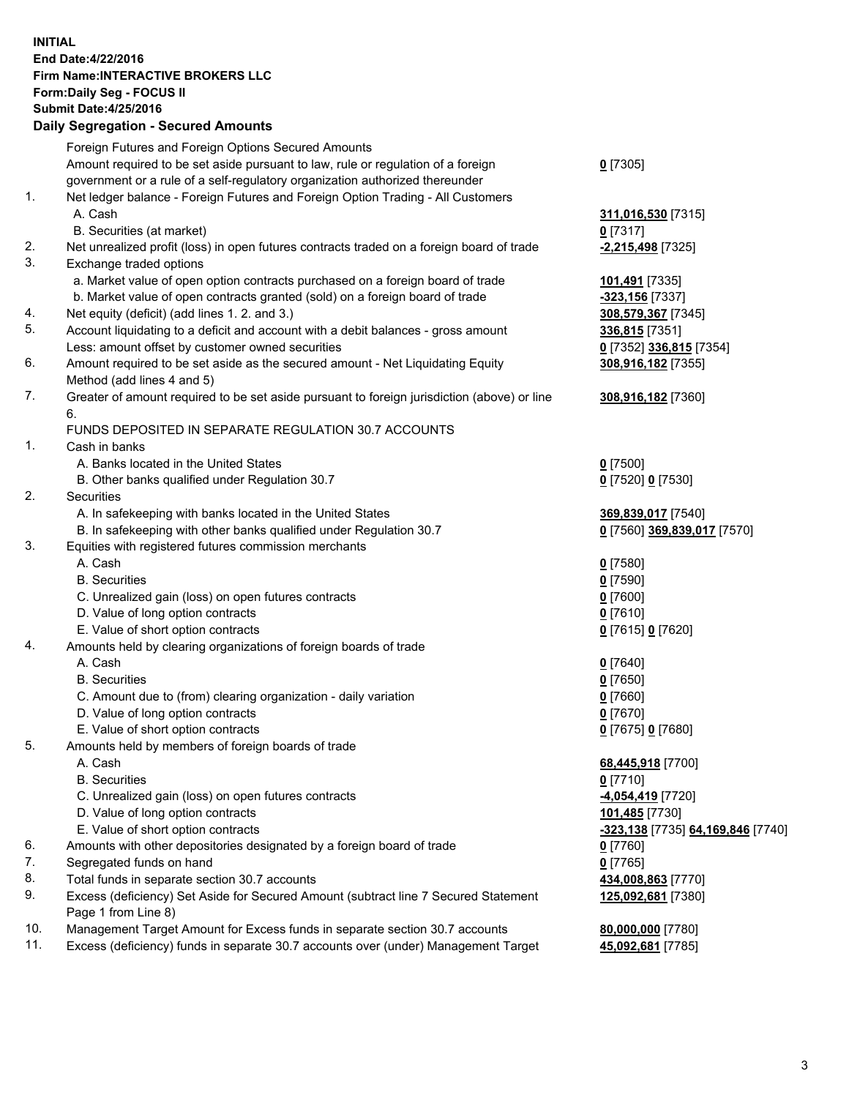## **INITIAL End Date:4/22/2016 Firm Name:INTERACTIVE BROKERS LLC Form:Daily Seg - FOCUS II Submit Date:4/25/2016 Daily Segregation - Secured Amounts**

|     | Daily Ocglegation - Occarea Anioants                                                        |                                   |
|-----|---------------------------------------------------------------------------------------------|-----------------------------------|
|     | Foreign Futures and Foreign Options Secured Amounts                                         |                                   |
|     | Amount required to be set aside pursuant to law, rule or regulation of a foreign            | $0$ [7305]                        |
|     | government or a rule of a self-regulatory organization authorized thereunder                |                                   |
| 1.  | Net ledger balance - Foreign Futures and Foreign Option Trading - All Customers             |                                   |
|     | A. Cash                                                                                     | 311,016,530 [7315]                |
|     | B. Securities (at market)                                                                   | $0$ [7317]                        |
| 2.  | Net unrealized profit (loss) in open futures contracts traded on a foreign board of trade   | -2,215,498 [7325]                 |
| 3.  | Exchange traded options                                                                     |                                   |
|     | a. Market value of open option contracts purchased on a foreign board of trade              | 101,491 [7335]                    |
|     | b. Market value of open contracts granted (sold) on a foreign board of trade                | -323,156 [7337]                   |
| 4.  | Net equity (deficit) (add lines 1.2. and 3.)                                                | 308,579,367 [7345]                |
| 5.  | Account liquidating to a deficit and account with a debit balances - gross amount           | 336,815 [7351]                    |
|     | Less: amount offset by customer owned securities                                            | 0 [7352] 336,815 [7354]           |
| 6.  | Amount required to be set aside as the secured amount - Net Liquidating Equity              | 308,916,182 [7355]                |
|     | Method (add lines 4 and 5)                                                                  |                                   |
| 7.  | Greater of amount required to be set aside pursuant to foreign jurisdiction (above) or line | 308,916,182 [7360]                |
|     | 6.                                                                                          |                                   |
|     | FUNDS DEPOSITED IN SEPARATE REGULATION 30.7 ACCOUNTS                                        |                                   |
| 1.  | Cash in banks                                                                               |                                   |
|     | A. Banks located in the United States                                                       | $0$ [7500]                        |
|     | B. Other banks qualified under Regulation 30.7                                              | 0 [7520] 0 [7530]                 |
| 2.  | Securities                                                                                  |                                   |
|     | A. In safekeeping with banks located in the United States                                   | 369,839,017 [7540]                |
|     | B. In safekeeping with other banks qualified under Regulation 30.7                          | 0 [7560] 369,839,017 [7570]       |
| 3.  | Equities with registered futures commission merchants                                       |                                   |
|     | A. Cash                                                                                     | $0$ [7580]                        |
|     | <b>B.</b> Securities                                                                        | $0$ [7590]                        |
|     | C. Unrealized gain (loss) on open futures contracts                                         | $0$ [7600]                        |
|     | D. Value of long option contracts                                                           | $0$ [7610]                        |
|     | E. Value of short option contracts                                                          | 0 [7615] 0 [7620]                 |
| 4.  | Amounts held by clearing organizations of foreign boards of trade                           |                                   |
|     | A. Cash                                                                                     | $0$ [7640]                        |
|     | <b>B.</b> Securities                                                                        | $0$ [7650]                        |
|     | C. Amount due to (from) clearing organization - daily variation                             | $0$ [7660]                        |
|     | D. Value of long option contracts                                                           | $0$ [7670]                        |
|     | E. Value of short option contracts                                                          | 0 [7675] 0 [7680]                 |
| 5.  | Amounts held by members of foreign boards of trade                                          |                                   |
|     | A. Cash                                                                                     | 68,445,918 [7700]                 |
|     | <b>B.</b> Securities                                                                        | $0$ [7710]                        |
|     | C. Unrealized gain (loss) on open futures contracts                                         | -4,054,419 [7720]                 |
|     | D. Value of long option contracts                                                           | 101,485 [7730]                    |
|     | E. Value of short option contracts                                                          | -323,138 [7735] 64,169,846 [7740] |
| 6.  | Amounts with other depositories designated by a foreign board of trade                      | 0 [7760]                          |
| 7.  | Segregated funds on hand                                                                    | $0$ [7765]                        |
| 8.  | Total funds in separate section 30.7 accounts                                               | 434,008,863 [7770]                |
| 9.  | Excess (deficiency) Set Aside for Secured Amount (subtract line 7 Secured Statement         | 125,092,681 [7380]                |
|     | Page 1 from Line 8)                                                                         |                                   |
| 10. | Management Target Amount for Excess funds in separate section 30.7 accounts                 | 80,000,000 [7780]                 |
| 11. | Excess (deficiency) funds in separate 30.7 accounts over (under) Management Target          | 45,092,681 [7785]                 |
|     |                                                                                             |                                   |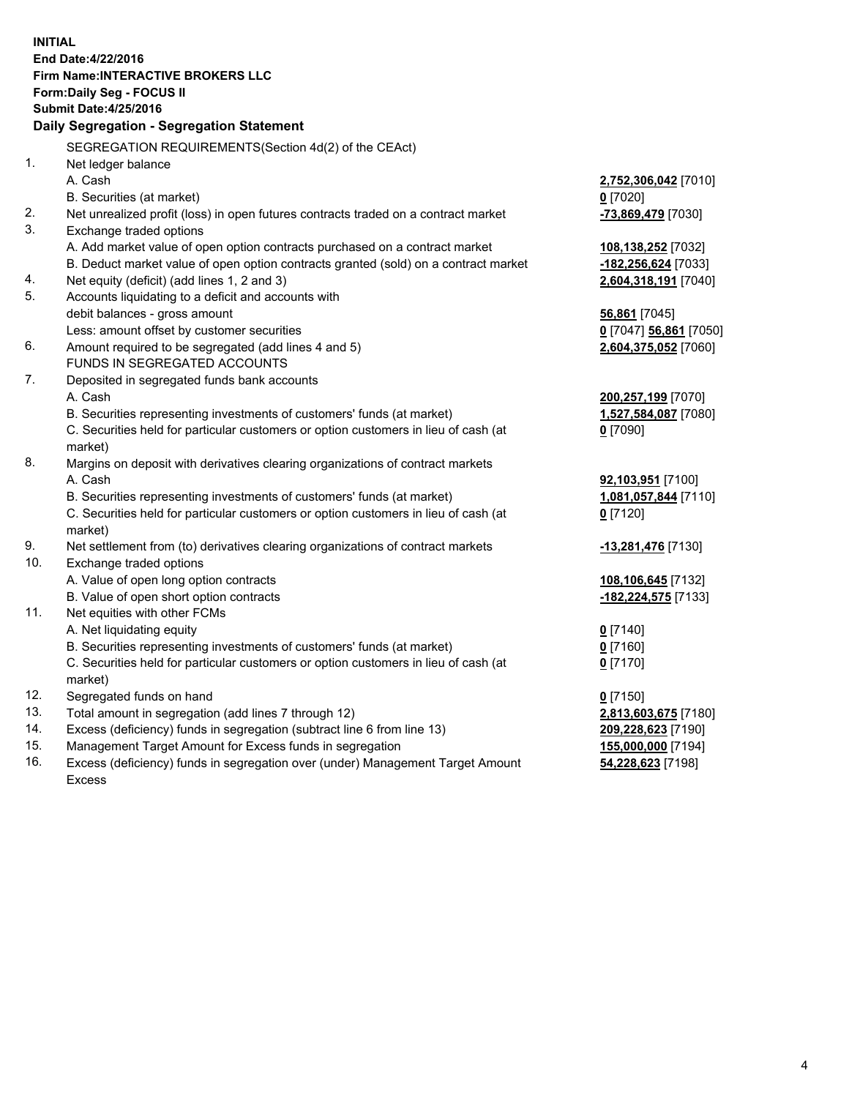**INITIAL End Date:4/22/2016 Firm Name:INTERACTIVE BROKERS LLC Form:Daily Seg - FOCUS II Submit Date:4/25/2016 Daily Segregation - Segregation Statement** SEGREGATION REQUIREMENTS(Section 4d(2) of the CEAct) 1. Net ledger balance A. Cash **2,752,306,042** [7010] B. Securities (at market) **0** [7020] 2. Net unrealized profit (loss) in open futures contracts traded on a contract market **-73,869,479** [7030] 3. Exchange traded options A. Add market value of open option contracts purchased on a contract market **108,138,252** [7032] B. Deduct market value of open option contracts granted (sold) on a contract market **-182,256,624** [7033] 4. Net equity (deficit) (add lines 1, 2 and 3) **2,604,318,191** [7040] 5. Accounts liquidating to a deficit and accounts with debit balances - gross amount **56,861** [7045] Less: amount offset by customer securities **0** [7047] **56,861** [7050] 6. Amount required to be segregated (add lines 4 and 5) **2,604,375,052** [7060] FUNDS IN SEGREGATED ACCOUNTS 7. Deposited in segregated funds bank accounts A. Cash **200,257,199** [7070] B. Securities representing investments of customers' funds (at market) **1,527,584,087** [7080] C. Securities held for particular customers or option customers in lieu of cash (at market) **0** [7090] 8. Margins on deposit with derivatives clearing organizations of contract markets A. Cash **92,103,951** [7100] B. Securities representing investments of customers' funds (at market) **1,081,057,844** [7110] C. Securities held for particular customers or option customers in lieu of cash (at market) **0** [7120] 9. Net settlement from (to) derivatives clearing organizations of contract markets **-13,281,476** [7130] 10. Exchange traded options A. Value of open long option contracts **108,106,645** [7132] B. Value of open short option contracts **-182,224,575** [7133] 11. Net equities with other FCMs A. Net liquidating equity **0** [7140] B. Securities representing investments of customers' funds (at market) **0** [7160] C. Securities held for particular customers or option customers in lieu of cash (at market) **0** [7170] 12. Segregated funds on hand **0** [7150] 13. Total amount in segregation (add lines 7 through 12) **2,813,603,675** [7180] 14. Excess (deficiency) funds in segregation (subtract line 6 from line 13) **209,228,623** [7190] 15. Management Target Amount for Excess funds in segregation **155,000,000** [7194] **54,228,623** [7198]

16. Excess (deficiency) funds in segregation over (under) Management Target Amount Excess